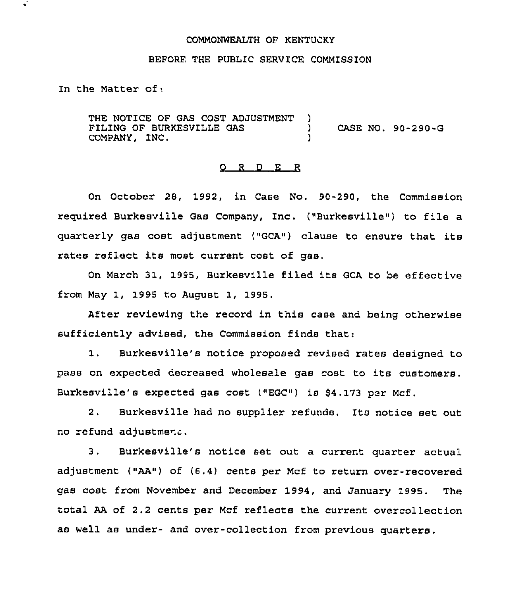# COMMONWEALTH OF KENTUCKY

# BEFORE THE PUBLIC SERVICE COMMISSION

In the Matter of;

THE NOTICE OF GAS COST ADJUSTMENT FILING OF BURKESVILLE GAS COMPANY, INC.  $\left\{ \right.$ ) CASE NO. 90-290-G )

#### 0 <sup>R</sup> <sup>D</sup> E R

On October 28, 1992, in Case No. 90-290, the Commission required Burkesville Gas Company, Inc. ("Burkesville") to file a quarterly gas cost adjustment ("GCA") clause to ensure that its rates reflect its most current cost of gas.

On March 31, 1995, Burkesville filed its GCA to be effective from May 1, 1995 to August 1, 1995.

After reviewing the record in this case and being otherwise sufficiently advised, the Commission finds that:

1. Burkesville's notice proposed revised rates designed to pass on expected decreased wholesale gas cost to its customers. Burkesville's expected gas cost ("EGC") is 84.173 per Mcf,

2, Burkesville had no supplier refunds, Its notice set out no refund adjustment.

3. Burkesville's notice set out a current quarter actual adjustment ("AA") of (6.4) cents per Mcf to return over-recovered gas cost from November and December 1994, and January 1995. The total AA of 2.2 cents per Mcf reflects the current overcollection as well as under- and over-collection from previous quarters.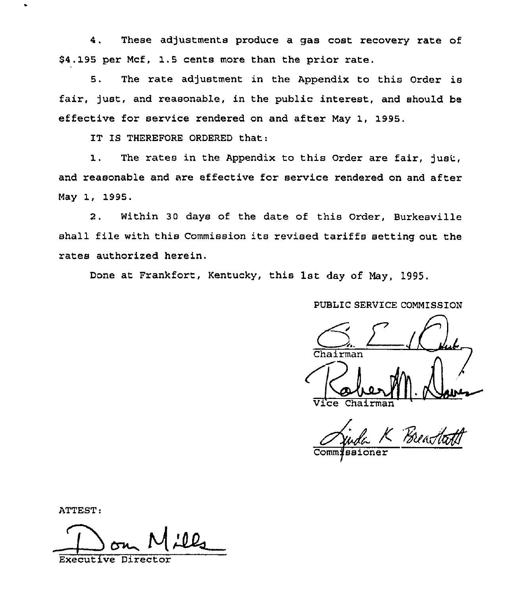4, These adjustments produce a gas cost recovery rate of \$4.195 per Mcf, 1.5 cents more than the prior rate.

5. The rate adjustment in the Appendix to this Order is fair, fust, and reasonable, in the public interest, and should be effective for service rendered on and after May 1, 1995.

IT IS THEREFORE ORDERED that:

1. The rates in the Appendix to this Ordez are fair, just, and reasonable and are effective for service rendered on and after May 1, 1995.

2. Within 30 days of the date of this Order, Burkesville shall file with this Commission its revised tariffs setting out the rates authorized herein.

Done at Frankfort, Kentucky, this 1st day of May, 1995.

PUBLIC SERVICE COMMISSIOH

hairman Vice Chairma

K Breachath

ATTEST:

~I Executive Director